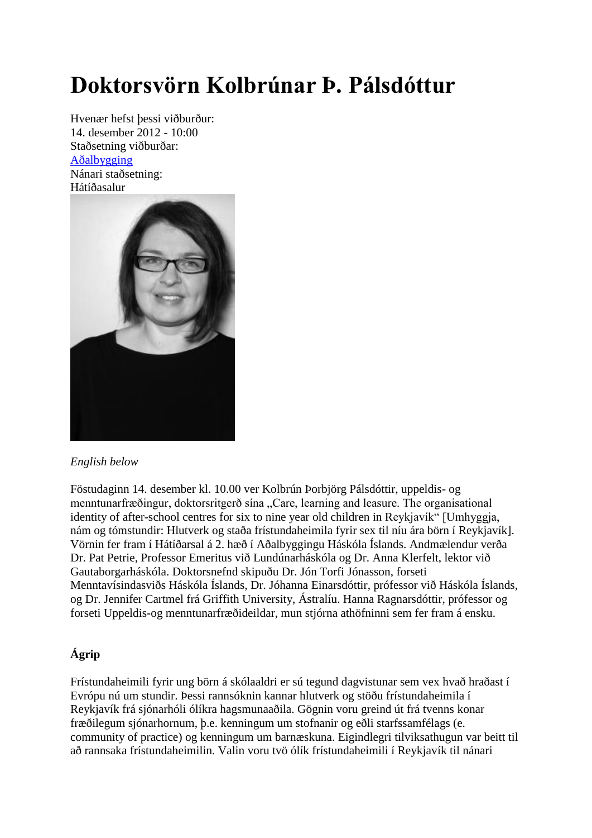## **Doktorsvörn Kolbrúnar Þ. Pálsdóttur**

Hvenær hefst þessi viðburður: 14. desember 2012 - 10:00 Staðsetning viðburðar: [Aðalbygging](http://wayback.vefsafn.is/wayback/20130327095218/http:/www.hi.is/adalbygging) Nánari staðsetning: Hátíðasalur



## *English below*

Föstudaginn 14. desember kl. 10.00 ver Kolbrún Þorbjörg Pálsdóttir, uppeldis- og menntunarfræðingur, doktorsritgerð sína "Care, learning and leasure. The organisational identity of after-school centres for six to nine year old children in Reykjavík" [Umhyggja, nám og tómstundir: Hlutverk og staða frístundaheimila fyrir sex til níu ára börn í Reykjavík]. Vörnin fer fram í Hátíðarsal á 2. hæð í Aðalbyggingu Háskóla Íslands. Andmælendur verða Dr. Pat Petrie, Professor Emeritus við Lundúnarháskóla og Dr. Anna Klerfelt, lektor við Gautaborgarháskóla. Doktorsnefnd skipuðu Dr. Jón Torfi Jónasson, forseti Menntavísindasviðs Háskóla Íslands, Dr. Jóhanna Einarsdóttir, prófessor við Háskóla Íslands, og Dr. Jennifer Cartmel frá Griffith University, Ástralíu. Hanna Ragnarsdóttir, prófessor og forseti Uppeldis-og menntunarfræðideildar, mun stjórna athöfninni sem fer fram á ensku.

## **Ágrip**

Frístundaheimili fyrir ung börn á skólaaldri er sú tegund dagvistunar sem vex hvað hraðast í Evrópu nú um stundir. Þessi rannsóknin kannar hlutverk og stöðu frístundaheimila í Reykjavík frá sjónarhóli ólíkra hagsmunaaðila. Gögnin voru greind út frá tvenns konar fræðilegum sjónarhornum, þ.e. kenningum um stofnanir og eðli starfssamfélags (e. community of practice) og kenningum um barnæskuna. Eigindlegri tilviksathugun var beitt til að rannsaka frístundaheimilin. Valin voru tvö ólík frístundaheimili í Reykjavík til nánari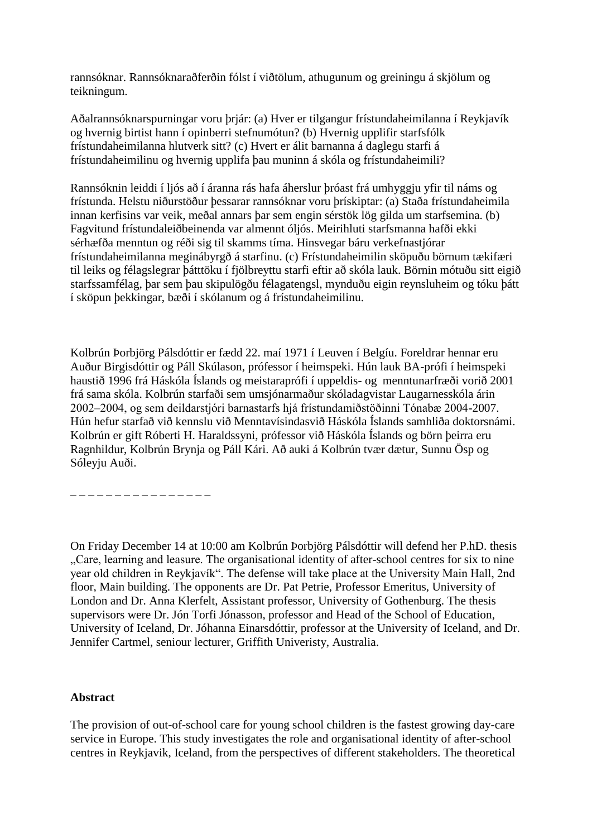rannsóknar. Rannsóknaraðferðin fólst í viðtölum, athugunum og greiningu á skjölum og teikningum.

Aðalrannsóknarspurningar voru þrjár: (a) Hver er tilgangur frístundaheimilanna í Reykjavík og hvernig birtist hann í opinberri stefnumótun? (b) Hvernig upplifir starfsfólk frístundaheimilanna hlutverk sitt? (c) Hvert er álit barnanna á daglegu starfi á frístundaheimilinu og hvernig upplifa þau muninn á skóla og frístundaheimili?

Rannsóknin leiddi í ljós að í áranna rás hafa áherslur þróast frá umhyggju yfir til náms og frístunda. Helstu niðurstöður þessarar rannsóknar voru þrískiptar: (a) Staða frístundaheimila innan kerfisins var veik, meðal annars þar sem engin sérstök lög gilda um starfsemina. (b) Fagvitund frístundaleiðbeinenda var almennt óljós. Meirihluti starfsmanna hafði ekki sérhæfða menntun og réði sig til skamms tíma. Hinsvegar báru verkefnastjórar frístundaheimilanna meginábyrgð á starfinu. (c) Frístundaheimilin sköpuðu börnum tækifæri til leiks og félagslegrar þátttöku í fjölbreyttu starfi eftir að skóla lauk. Börnin mótuðu sitt eigið starfssamfélag, þar sem þau skipulögðu félagatengsl, mynduðu eigin reynsluheim og tóku þátt í sköpun þekkingar, bæði í skólanum og á frístundaheimilinu.

Kolbrún Þorbjörg Pálsdóttir er fædd 22. maí 1971 í Leuven í Belgíu. Foreldrar hennar eru Auður Birgisdóttir og Páll Skúlason, prófessor í heimspeki. Hún lauk BA-prófi í heimspeki haustið 1996 frá Háskóla Íslands og meistaraprófi í uppeldis- og menntunarfræði vorið 2001 frá sama skóla. Kolbrún starfaði sem umsjónarmaður skóladagvistar Laugarnesskóla árin 2002‒2004, og sem deildarstjóri barnastarfs hjá frístundamiðstöðinni Tónabæ 2004-2007. Hún hefur starfað við kennslu við Menntavísindasvið Háskóla Íslands samhliða doktorsnámi. Kolbrún er gift Róberti H. Haraldssyni, prófessor við Háskóla Íslands og börn þeirra eru Ragnhildur, Kolbrún Brynja og Páll Kári. Að auki á Kolbrún tvær dætur, Sunnu Ösp og Sóleyju Auði.

\_ \_ \_ \_ \_ \_ \_ \_ \_ \_ \_ \_ \_ \_ \_ \_

On Friday December 14 at 10:00 am Kolbrún Þorbjörg Pálsdóttir will defend her P.hD. thesis "Care, learning and leasure. The organisational identity of after-school centres for six to nine year old children in Reykjavík". The defense will take place at the University Main Hall, 2nd floor, Main building. The opponents are Dr. Pat Petrie, Professor Emeritus, University of London and Dr. Anna Klerfelt, Assistant professor, University of Gothenburg. The thesis supervisors were Dr. Jón Torfi Jónasson, professor and Head of the School of Education, University of Iceland, Dr. Jóhanna Einarsdóttir, professor at the University of Iceland, and Dr. Jennifer Cartmel, seniour lecturer, Griffith Univeristy, Australia.

## **Abstract**

The provision of out-of-school care for young school children is the fastest growing day-care service in Europe. This study investigates the role and organisational identity of after-school centres in Reykjavik, Iceland, from the perspectives of different stakeholders. The theoretical